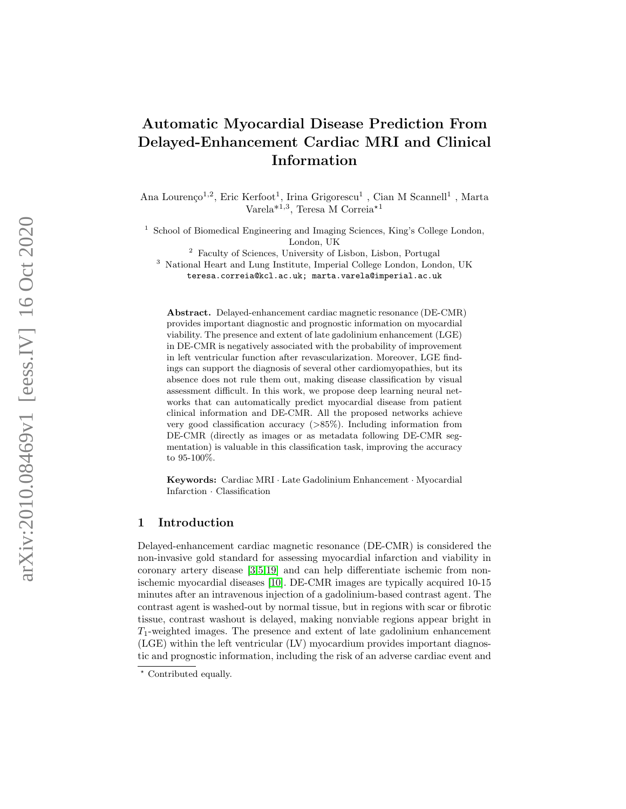# Automatic Myocardial Disease Prediction From Delayed-Enhancement Cardiac MRI and Clinical Information

Ana Lourenço<sup>1,2</sup>, Eric Kerfoot<sup>1</sup>, Irina Grigorescu<sup>1</sup>, Cian M Scannell<sup>1</sup>, Marta  $\text{Varela}^{*1,3}$ , Teresa M Correia<sup>\*1</sup>

<sup>1</sup> School of Biomedical Engineering and Imaging Sciences, King's College London, London, UK

<sup>2</sup> Faculty of Sciences, University of Lisbon, Lisbon, Portugal

<sup>3</sup> National Heart and Lung Institute, Imperial College London, London, UK teresa.correia@kcl.ac.uk; marta.varela@imperial.ac.uk

Abstract. Delayed-enhancement cardiac magnetic resonance (DE-CMR) provides important diagnostic and prognostic information on myocardial viability. The presence and extent of late gadolinium enhancement (LGE) in DE-CMR is negatively associated with the probability of improvement in left ventricular function after revascularization. Moreover, LGE findings can support the diagnosis of several other cardiomyopathies, but its absence does not rule them out, making disease classification by visual assessment difficult. In this work, we propose deep learning neural networks that can automatically predict myocardial disease from patient clinical information and DE-CMR. All the proposed networks achieve very good classification accuracy ( >85%). Including information from DE-CMR (directly as images or as metadata following DE-CMR segmentation) is valuable in this classification task, improving the accuracy to 95-100%.

Keywords: Cardiac MRI · Late Gadolinium Enhancement · Myocardial Infarction · Classification

### 1 Introduction

Delayed-enhancement cardiac magnetic resonance (DE-CMR) is considered the non-invasive gold standard for assessing myocardial infarction and viability in coronary artery disease [\[3,](#page-6-0)[5,](#page-6-1)[19\]](#page-7-0) and can help differentiate ischemic from nonischemic myocardial diseases [\[10\]](#page-6-2). DE-CMR images are typically acquired 10-15 minutes after an intravenous injection of a gadolinium-based contrast agent. The contrast agent is washed-out by normal tissue, but in regions with scar or fibrotic tissue, contrast washout is delayed, making nonviable regions appear bright in  $T_1$ -weighted images. The presence and extent of late gadolinium enhancement (LGE) within the left ventricular (LV) myocardium provides important diagnostic and prognostic information, including the risk of an adverse cardiac event and

<sup>\*</sup> Contributed equally.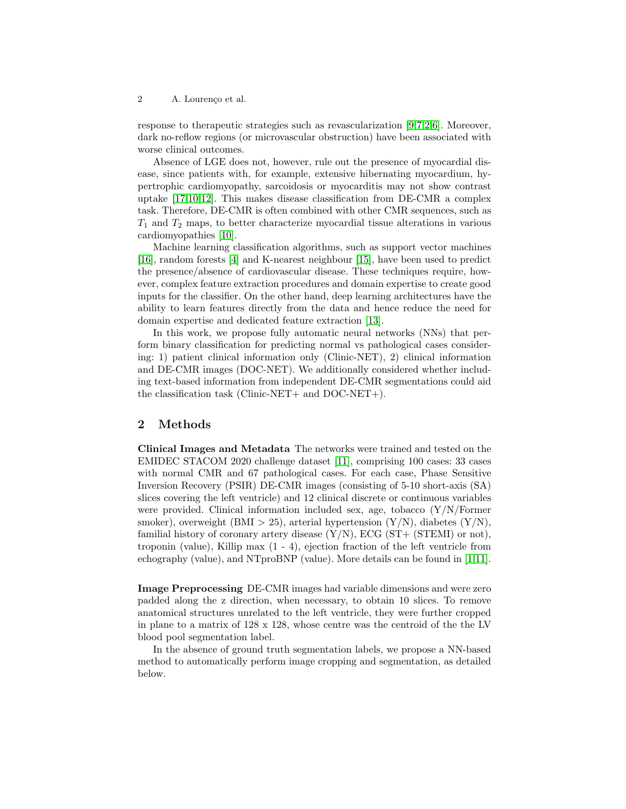2 A. Lourenço et al.

response to therapeutic strategies such as revascularization [\[9,](#page-6-3)[7,](#page-6-4)[2](#page-6-5)[,6\]](#page-6-6). Moreover, dark no-reflow regions (or microvascular obstruction) have been associated with worse clinical outcomes.

Absence of LGE does not, however, rule out the presence of myocardial disease, since patients with, for example, extensive hibernating myocardium, hypertrophic cardiomyopathy, sarcoidosis or myocarditis may not show contrast uptake [\[17](#page-6-7)[,10,](#page-6-2)[12\]](#page-6-8). This makes disease classification from DE-CMR a complex task. Therefore, DE-CMR is often combined with other CMR sequences, such as  $T_1$  and  $T_2$  maps, to better characterize myocardial tissue alterations in various cardiomyopathies [\[10\]](#page-6-2).

Machine learning classification algorithms, such as support vector machines [\[16\]](#page-6-9), random forests [\[4\]](#page-6-10) and K-nearest neighbour [\[15\]](#page-6-11), have been used to predict the presence/absence of cardiovascular disease. These techniques require, however, complex feature extraction procedures and domain expertise to create good inputs for the classifier. On the other hand, deep learning architectures have the ability to learn features directly from the data and hence reduce the need for domain expertise and dedicated feature extraction [\[13\]](#page-6-12).

In this work, we propose fully automatic neural networks (NNs) that perform binary classification for predicting normal vs pathological cases considering: 1) patient clinical information only (Clinic-NET), 2) clinical information and DE-CMR images (DOC-NET). We additionally considered whether including text-based information from independent DE-CMR segmentations could aid the classification task (Clinic-NET+ and DOC-NET+).

#### 2 Methods

Clinical Images and Metadata The networks were trained and tested on the EMIDEC STACOM 2020 challenge dataset [\[11\]](#page-6-13), comprising 100 cases: 33 cases with normal CMR and 67 pathological cases. For each case, Phase Sensitive Inversion Recovery (PSIR) DE-CMR images (consisting of 5-10 short-axis (SA) slices covering the left ventricle) and 12 clinical discrete or continuous variables were provided. Clinical information included sex, age, tobacco (Y/N/Former smoker), overweight (BMI  $> 25$ ), arterial hypertension (Y/N), diabetes (Y/N), familial history of coronary artery disease  $(Y/N)$ , ECG  $(ST + (STEMI)$  or not), troponin (value), Killip max  $(1 - 4)$ , ejection fraction of the left ventricle from echography (value), and NTproBNP (value). More details can be found in [\[1,](#page-6-14)[11\]](#page-6-13).

Image Preprocessing DE-CMR images had variable dimensions and were zero padded along the z direction, when necessary, to obtain 10 slices. To remove anatomical structures unrelated to the left ventricle, they were further cropped in plane to a matrix of 128 x 128, whose centre was the centroid of the the LV blood pool segmentation label.

In the absence of ground truth segmentation labels, we propose a NN-based method to automatically perform image cropping and segmentation, as detailed below.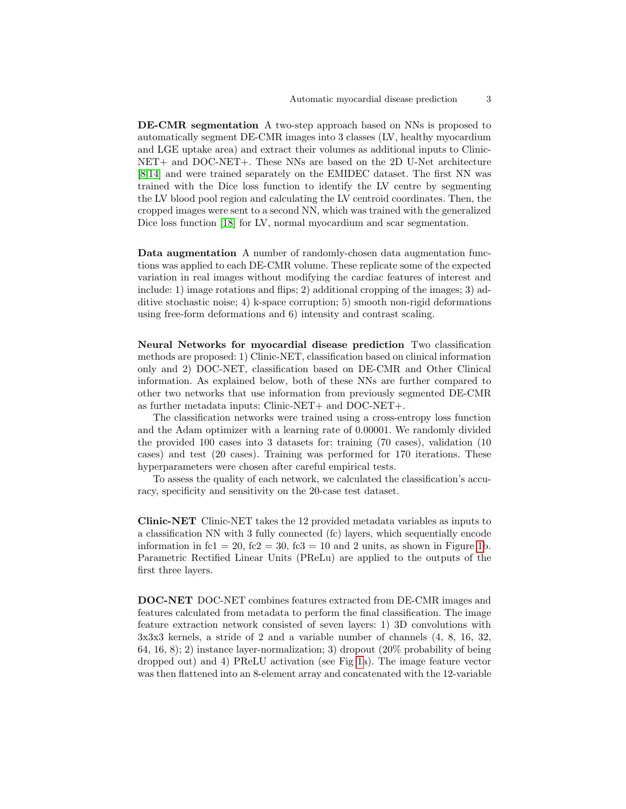DE-CMR segmentation A two-step approach based on NNs is proposed to automatically segment DE-CMR images into 3 classes (LV, healthy myocardium and LGE uptake area) and extract their volumes as additional inputs to Clinic-NET+ and DOC-NET+. These NNs are based on the 2D U-Net architecture [\[8,](#page-6-15)[14\]](#page-6-16) and were trained separately on the EMIDEC dataset. The first NN was trained with the Dice loss function to identify the LV centre by segmenting the LV blood pool region and calculating the LV centroid coordinates. Then, the cropped images were sent to a second NN, which was trained with the generalized Dice loss function [\[18\]](#page-6-17) for LV, normal myocardium and scar segmentation.

Data augmentation A number of randomly-chosen data augmentation functions was applied to each DE-CMR volume. These replicate some of the expected variation in real images without modifying the cardiac features of interest and include: 1) image rotations and flips; 2) additional cropping of the images; 3) additive stochastic noise; 4) k-space corruption; 5) smooth non-rigid deformations using free-form deformations and 6) intensity and contrast scaling.

Neural Networks for myocardial disease prediction Two classification methods are proposed: 1) Clinic-NET, classification based on clinical information only and 2) DOC-NET, classification based on DE-CMR and Other Clinical information. As explained below, both of these NNs are further compared to other two networks that use information from previously segmented DE-CMR as further metadata inputs: Clinic-NET+ and DOC-NET+.

The classification networks were trained using a cross-entropy loss function and the Adam optimizer with a learning rate of 0.00001. We randomly divided the provided 100 cases into 3 datasets for: training (70 cases), validation (10 cases) and test (20 cases). Training was performed for 170 iterations. These hyperparameters were chosen after careful empirical tests.

To assess the quality of each network, we calculated the classification's accuracy, specificity and sensitivity on the 20-case test dataset.

Clinic-NET Clinic-NET takes the 12 provided metadata variables as inputs to a classification NN with 3 fully connected (fc) layers, which sequentially encode information in fc1 = 20, fc2 = 30, fc3 = 10 and 2 units, as shown in Figure [1b](#page-3-0). Parametric Rectified Linear Units (PReLu) are applied to the outputs of the first three layers.

DOC-NET DOC-NET combines features extracted from DE-CMR images and features calculated from metadata to perform the final classification. The image feature extraction network consisted of seven layers: 1) 3D convolutions with 3x3x3 kernels, a stride of 2 and a variable number of channels (4, 8, 16, 32, 64, 16, 8); 2) instance layer-normalization; 3) dropout (20% probability of being dropped out) and 4) PReLU activation (see Fig [1a](#page-3-0)). The image feature vector was then flattened into an 8-element array and concatenated with the 12-variable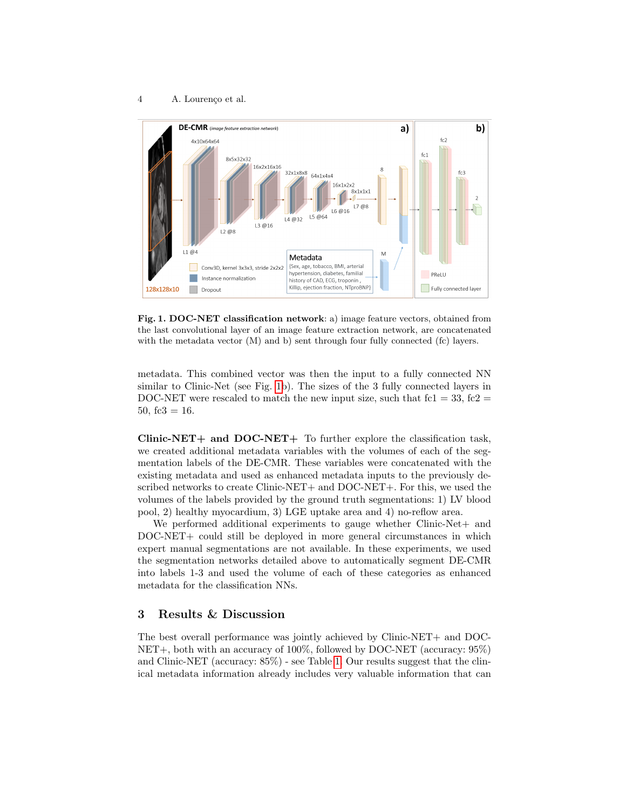

<span id="page-3-0"></span>Fig. 1. DOC-NET classification network: a) image feature vectors, obtained from the last convolutional layer of an image feature extraction network, are concatenated with the metadata vector (M) and b) sent through four fully connected (fc) layers.

metadata. This combined vector was then the input to a fully connected NN similar to Clinic-Net (see Fig. [1b](#page-3-0)). The sizes of the 3 fully connected layers in DOC-NET were rescaled to match the new input size, such that  $fc1 = 33$ ,  $fc2 =$ 50, fc3 =  $16$ .

Clinic-NET+ and DOC-NET+ To further explore the classification task, we created additional metadata variables with the volumes of each of the segmentation labels of the DE-CMR. These variables were concatenated with the existing metadata and used as enhanced metadata inputs to the previously described networks to create Clinic-NET+ and DOC-NET+. For this, we used the volumes of the labels provided by the ground truth segmentations: 1) LV blood pool, 2) healthy myocardium, 3) LGE uptake area and 4) no-reflow area.

We performed additional experiments to gauge whether Clinic-Net + and DOC-NET+ could still be deployed in more general circumstances in which expert manual segmentations are not available. In these experiments, we used the segmentation networks detailed above to automatically segment DE-CMR into labels 1-3 and used the volume of each of these categories as enhanced metadata for the classification NNs.

#### 3 Results & Discussion

The best overall performance was jointly achieved by Clinic-NET+ and DOC-NET+, both with an accuracy of 100%, followed by DOC-NET (accuracy: 95%) and Clinic-NET (accuracy: 85%) - see Table [1.](#page-4-0) Our results suggest that the clinical metadata information already includes very valuable information that can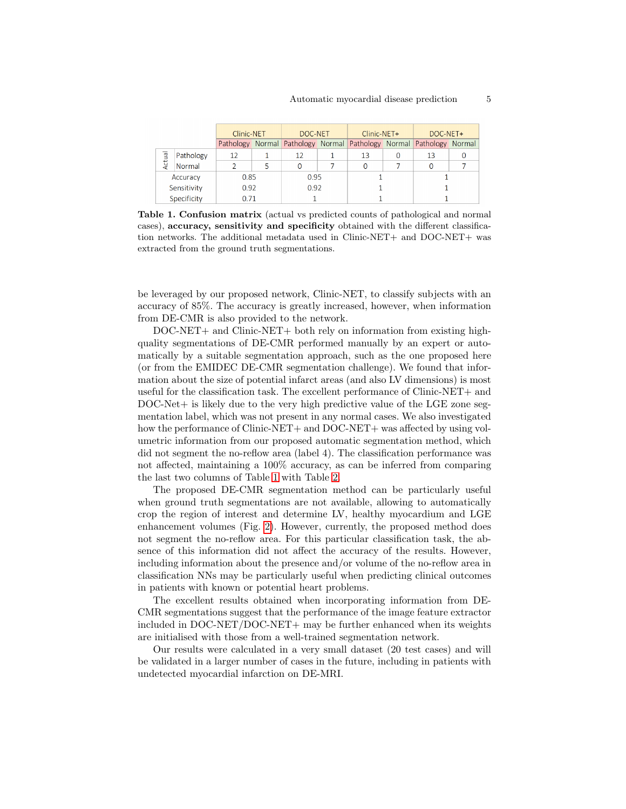|  |          |                     | Clinic-NET |        | DOC-NET   |        | Clinic-NET+ |        | DOC-NET+  |        |  |
|--|----------|---------------------|------------|--------|-----------|--------|-------------|--------|-----------|--------|--|
|  |          |                     | Pathology  | Normal | Pathology | Normal | Pathology   | Normal | Pathology | Normal |  |
|  | Actual   | Pathology           | 12         |        | 12        |        | 13          |        | 13        |        |  |
|  |          | Normal              |            | 5      | 0         |        |             |        |           |        |  |
|  | Accuracy |                     | 0.85       |        | 0.95      |        |             |        |           |        |  |
|  |          | Sensitivity<br>0.92 |            |        | 0.92      |        |             |        |           |        |  |
|  |          | Specificity         | 0.71       |        |           |        |             |        |           |        |  |

<span id="page-4-0"></span>Table 1. Confusion matrix (actual vs predicted counts of pathological and normal cases), accuracy, sensitivity and specificity obtained with the different classification networks. The additional metadata used in Clinic-NET+ and DOC-NET+ was extracted from the ground truth segmentations.

be leveraged by our proposed network, Clinic-NET, to classify subjects with an accuracy of 85%. The accuracy is greatly increased, however, when information from DE-CMR is also provided to the network.

DOC-NET+ and Clinic-NET+ both rely on information from existing highquality segmentations of DE-CMR performed manually by an expert or automatically by a suitable segmentation approach, such as the one proposed here (or from the EMIDEC DE-CMR segmentation challenge). We found that information about the size of potential infarct areas (and also LV dimensions) is most useful for the classification task. The excellent performance of Clinic-NET+ and  $DOC-Net+$  is likely due to the very high predictive value of the LGE zone segmentation label, which was not present in any normal cases. We also investigated how the performance of Clinic-NET+ and DOC-NET+ was affected by using volumetric information from our proposed automatic segmentation method, which did not segment the no-reflow area (label 4). The classification performance was not affected, maintaining a 100% accuracy, as can be inferred from comparing the last two columns of Table [1](#page-4-0) with Table [2.](#page-5-0)

The proposed DE-CMR segmentation method can be particularly useful when ground truth segmentations are not available, allowing to automatically crop the region of interest and determine LV, healthy myocardium and LGE enhancement volumes (Fig. [2\)](#page-5-1). However, currently, the proposed method does not segment the no-reflow area. For this particular classification task, the absence of this information did not affect the accuracy of the results. However, including information about the presence and/or volume of the no-reflow area in classification NNs may be particularly useful when predicting clinical outcomes in patients with known or potential heart problems.

The excellent results obtained when incorporating information from DE-CMR segmentations suggest that the performance of the image feature extractor included in DOC-NET/DOC-NET+ may be further enhanced when its weights are initialised with those from a well-trained segmentation network.

Our results were calculated in a very small dataset (20 test cases) and will be validated in a larger number of cases in the future, including in patients with undetected myocardial infarction on DE-MRI.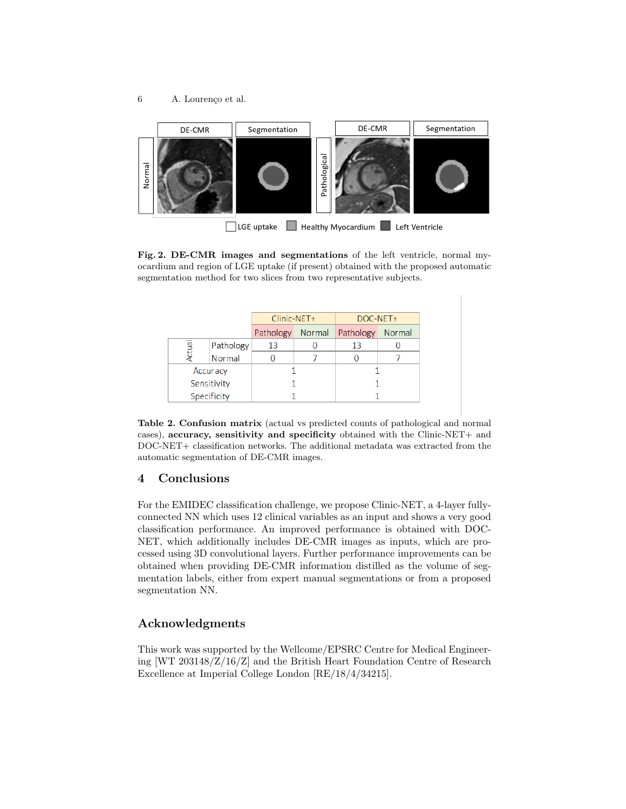

<span id="page-5-1"></span>Fig. 2. DE-CMR images and segmentations of the left ventricle, normal myocardium and region of LGE uptake (if present) obtained with the proposed automatic segmentation method for two slices from two representative subjects.

|        |             | Clinic-NET+ |        | DOC-NET+  |        |  |
|--------|-------------|-------------|--------|-----------|--------|--|
|        |             | Pathology   | Normal | Pathology | Normal |  |
| Actual | Pathology   | 13          |        | 13        |        |  |
|        | Normal      |             |        |           |        |  |
|        | Accuracy    |             |        |           |        |  |
|        | Sensitivity |             |        |           |        |  |
|        | Specificity |             |        |           |        |  |

<span id="page-5-0"></span>Table 2. Confusion matrix (actual vs predicted counts of pathological and normal cases), accuracy, sensitivity and specificity obtained with the Clinic-NET+ and DOC-NET+ classification networks. The additional metadata was extracted from the automatic segmentation of DE-CMR images.

# 4 Conclusions

For the EMIDEC classification challenge, we propose Clinic-NET, a 4-layer fullyconnected NN which uses 12 clinical variables as an input and shows a very good classification performance. An improved performance is obtained with DOC-NET, which additionally includes DE-CMR images as inputs, which are processed using 3D convolutional layers. Further performance improvements can be obtained when providing DE-CMR information distilled as the volume of segmentation labels, either from expert manual segmentations or from a proposed segmentation NN.

# Acknowledgments

This work was supported by the Wellcome/EPSRC Centre for Medical Engineering [WT 203148/Z/16/Z] and the British Heart Foundation Centre of Research Excellence at Imperial College London [RE/18/4/34215].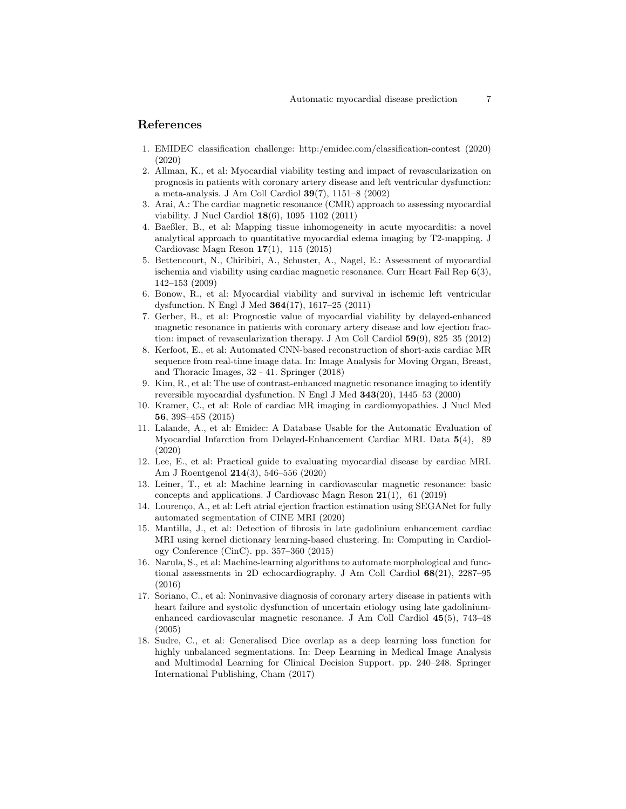## References

- <span id="page-6-14"></span>1. EMIDEC classification challenge: http:/emidec.com/classification-contest (2020) (2020)
- <span id="page-6-5"></span>2. Allman, K., et al: Myocardial viability testing and impact of revascularization on prognosis in patients with coronary artery disease and left ventricular dysfunction: a meta-analysis. J Am Coll Cardiol 39(7), 1151–8 (2002)
- <span id="page-6-0"></span>3. Arai, A.: The cardiac magnetic resonance (CMR) approach to assessing myocardial viability. J Nucl Cardiol 18(6), 1095–1102 (2011)
- <span id="page-6-10"></span>4. Baeßler, B., et al: Mapping tissue inhomogeneity in acute myocarditis: a novel analytical approach to quantitative myocardial edema imaging by T2-mapping. J Cardiovasc Magn Reson 17(1), 115 (2015)
- <span id="page-6-1"></span>5. Bettencourt, N., Chiribiri, A., Schuster, A., Nagel, E.: Assessment of myocardial ischemia and viability using cardiac magnetic resonance. Curr Heart Fail Rep  $6(3)$ , 142–153 (2009)
- <span id="page-6-6"></span>6. Bonow, R., et al: Myocardial viability and survival in ischemic left ventricular dysfunction. N Engl J Med 364(17), 1617–25 (2011)
- <span id="page-6-4"></span>7. Gerber, B., et al: Prognostic value of myocardial viability by delayed-enhanced magnetic resonance in patients with coronary artery disease and low ejection fraction: impact of revascularization therapy. J Am Coll Cardiol 59(9), 825–35 (2012)
- <span id="page-6-15"></span>8. Kerfoot, E., et al: Automated CNN-based reconstruction of short-axis cardiac MR sequence from real-time image data. In: Image Analysis for Moving Organ, Breast, and Thoracic Images, 32 - 41. Springer (2018)
- <span id="page-6-3"></span>9. Kim, R., et al: The use of contrast-enhanced magnetic resonance imaging to identify reversible myocardial dysfunction. N Engl J Med 343(20), 1445–53 (2000)
- <span id="page-6-2"></span>10. Kramer, C., et al: Role of cardiac MR imaging in cardiomyopathies. J Nucl Med 56, 39S–45S (2015)
- <span id="page-6-13"></span>11. Lalande, A., et al: Emidec: A Database Usable for the Automatic Evaluation of Myocardial Infarction from Delayed-Enhancement Cardiac MRI. Data 5(4), 89 (2020)
- <span id="page-6-8"></span>12. Lee, E., et al: Practical guide to evaluating myocardial disease by cardiac MRI. Am J Roentgenol 214(3), 546–556 (2020)
- <span id="page-6-12"></span>13. Leiner, T., et al: Machine learning in cardiovascular magnetic resonance: basic concepts and applications. J Cardiovasc Magn Reson 21(1), 61 (2019)
- <span id="page-6-16"></span>14. Lourenço, A., et al: Left atrial ejection fraction estimation using SEGANet for fully automated segmentation of CINE MRI (2020)
- <span id="page-6-11"></span>15. Mantilla, J., et al: Detection of fibrosis in late gadolinium enhancement cardiac MRI using kernel dictionary learning-based clustering. In: Computing in Cardiology Conference (CinC). pp. 357–360 (2015)
- <span id="page-6-9"></span>16. Narula, S., et al: Machine-learning algorithms to automate morphological and functional assessments in 2D echocardiography. J Am Coll Cardiol 68(21), 2287–95 (2016)
- <span id="page-6-7"></span>17. Soriano, C., et al: Noninvasive diagnosis of coronary artery disease in patients with heart failure and systolic dysfunction of uncertain etiology using late gadoliniumenhanced cardiovascular magnetic resonance. J Am Coll Cardiol 45(5), 743–48 (2005)
- <span id="page-6-17"></span>18. Sudre, C., et al: Generalised Dice overlap as a deep learning loss function for highly unbalanced segmentations. In: Deep Learning in Medical Image Analysis and Multimodal Learning for Clinical Decision Support. pp. 240–248. Springer International Publishing, Cham (2017)